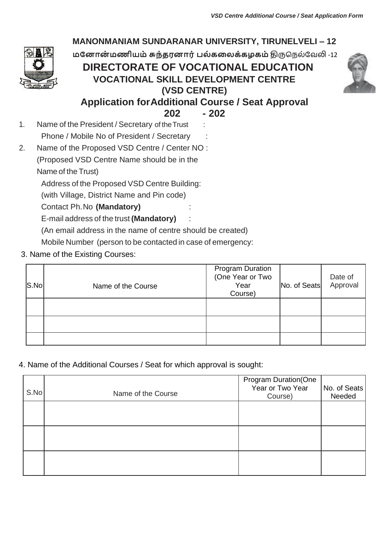

4. Name of the Additional Courses / Seat for which approval is sought:

| S.No | Name of the Course | <b>Program Duration(One</b><br>Year or Two Year<br>Course) | No. of Seats<br>Needed |
|------|--------------------|------------------------------------------------------------|------------------------|
|      |                    |                                                            |                        |
|      |                    |                                                            |                        |
|      |                    |                                                            |                        |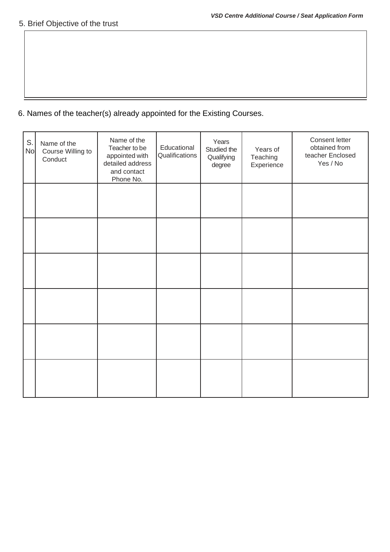# 6. Names of the teacher(s) already appointed for the Existing Courses.

| S.<br><b>No</b> | Name of the<br>Course Willing to<br>Conduct | Name of the<br>Teacher to be<br>appointed with<br>detailed address<br>and contact<br>Phone No. | Educational<br>Qualifications | Years<br>Studied the<br>Qualifying<br>degree | Years of<br>Teaching<br>Experience | Consent letter<br>obtained from<br>teacher Enclosed<br>Yes / No |
|-----------------|---------------------------------------------|------------------------------------------------------------------------------------------------|-------------------------------|----------------------------------------------|------------------------------------|-----------------------------------------------------------------|
|                 |                                             |                                                                                                |                               |                                              |                                    |                                                                 |
|                 |                                             |                                                                                                |                               |                                              |                                    |                                                                 |
|                 |                                             |                                                                                                |                               |                                              |                                    |                                                                 |
|                 |                                             |                                                                                                |                               |                                              |                                    |                                                                 |
|                 |                                             |                                                                                                |                               |                                              |                                    |                                                                 |
|                 |                                             |                                                                                                |                               |                                              |                                    |                                                                 |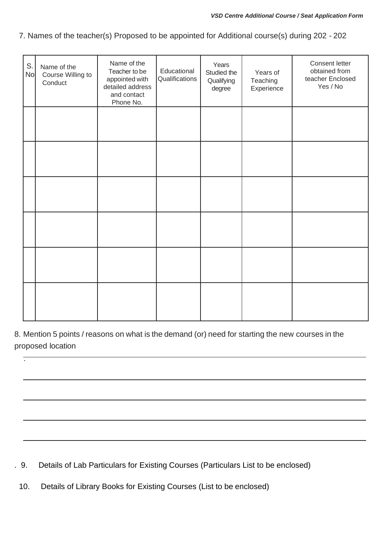7. Names of the teacher(s) Proposed to be appointed for Additional course(s) during 202 - 202

| S.<br><b>No</b> | Name of the<br>Course Willing to<br>Conduct | Name of the<br>Teacher to be<br>appointed with<br>detailed address<br>and contact<br>Phone No. | Educational<br>Qualifications | Years<br>Studied the<br>Qualifying<br>degree | Years of<br>Teaching<br>Experience | Consent letter<br>obtained from<br>teacher Enclosed<br>Yes / No |
|-----------------|---------------------------------------------|------------------------------------------------------------------------------------------------|-------------------------------|----------------------------------------------|------------------------------------|-----------------------------------------------------------------|
|                 |                                             |                                                                                                |                               |                                              |                                    |                                                                 |
|                 |                                             |                                                                                                |                               |                                              |                                    |                                                                 |
|                 |                                             |                                                                                                |                               |                                              |                                    |                                                                 |
|                 |                                             |                                                                                                |                               |                                              |                                    |                                                                 |
|                 |                                             |                                                                                                |                               |                                              |                                    |                                                                 |
|                 |                                             |                                                                                                |                               |                                              |                                    |                                                                 |

8. Mention 5 points / reasons on what is the demand (or) need for starting the new courses in the proposed location

. 9. Details of Lab Particulars for Existing Courses (Particulars List to be enclosed)

10. Details of Library Books for Existing Courses (List to be enclosed)

.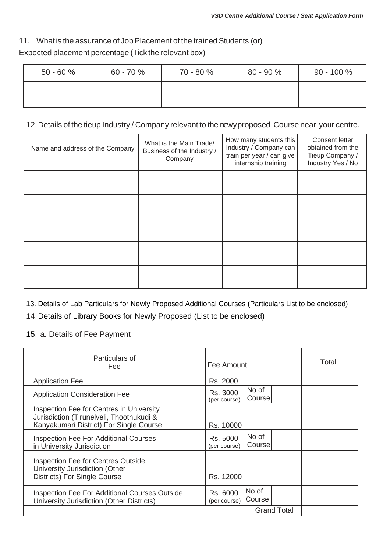#### 11. What is the assurance of Job Placement of the trained Students (or)

## Expected placement percentage (Tick the relevant box)

| $50 - 60 \%$ | $60 - 70 \%$ | 70 - 80 % | $80 - 90 \%$ | $90 - 100 \%$ |
|--------------|--------------|-----------|--------------|---------------|
|              |              |           |              |               |

#### 12.Details of the tieup Industry / Company relevant to the newly proposed Course near your centre.

| Name and address of the Company | What is the Main Trade/<br>Business of the Industry /<br>Company | How many students this<br>Industry / Company can<br>train per year / can give<br>internship training | Consent letter<br>obtained from the<br>Tieup Company /<br>Industry Yes / No |
|---------------------------------|------------------------------------------------------------------|------------------------------------------------------------------------------------------------------|-----------------------------------------------------------------------------|
|                                 |                                                                  |                                                                                                      |                                                                             |
|                                 |                                                                  |                                                                                                      |                                                                             |
|                                 |                                                                  |                                                                                                      |                                                                             |
|                                 |                                                                  |                                                                                                      |                                                                             |
|                                 |                                                                  |                                                                                                      |                                                                             |

13. Details of Lab Particulars for Newly Proposed Additional Courses (Particulars List to be enclosed)

14.Details of Library Books for Newly Proposed (List to be enclosed)

15. a. Details of Fee Payment

| Particulars of<br>Fee                                                                                                           |                          | Fee Amount       |                    | Total |
|---------------------------------------------------------------------------------------------------------------------------------|--------------------------|------------------|--------------------|-------|
| <b>Application Fee</b>                                                                                                          | Rs. 2000                 |                  |                    |       |
| <b>Application Consideration Fee</b>                                                                                            | Rs. 3000<br>(per course) | No of<br>Coursel |                    |       |
| Inspection Fee for Centres in University<br>Jurisdiction (Tirunelveli, Thoothukudi &<br>Kanyakumari District) For Single Course | Rs. 10000                |                  |                    |       |
| <b>Inspection Fee For Additional Courses</b><br>in University Jurisdiction                                                      | Rs. 5000<br>(per course) | No of<br>Course  |                    |       |
| <b>Inspection Fee for Centres Outside</b><br>University Jurisdiction (Other<br>Districts) For Single Course                     | Rs. 12000                |                  |                    |       |
| <b>Inspection Fee For Additional Courses Outside</b><br>University Jurisdiction (Other Districts)                               | Rs. 6000<br>(per course) | No of<br>Course  |                    |       |
|                                                                                                                                 |                          |                  | <b>Grand Total</b> |       |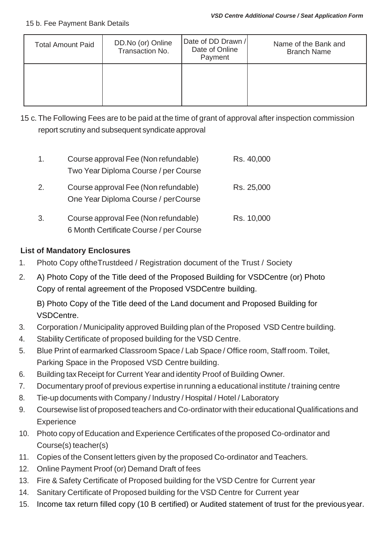| <b>Total Amount Paid</b> | DD.No (or) Online<br>Transaction No. | Date of DD Drawn /<br>Date of Online<br>Payment | Name of the Bank and<br><b>Branch Name</b> |
|--------------------------|--------------------------------------|-------------------------------------------------|--------------------------------------------|
|                          |                                      |                                                 |                                            |

15 c. The Following Fees are to be paid at the time of grant of approval after inspection commission report scrutiny and subsequent syndicate approval

| $\mathbf{1}$ . | Course approval Fee (Non refundable)<br>Two Year Diploma Course / per Course    | Rs. 40,000 |
|----------------|---------------------------------------------------------------------------------|------------|
| 2.             | Course approval Fee (Non refundable)<br>One Year Diploma Course / perCourse     | Rs. 25,000 |
| 3.             | Course approval Fee (Non refundable)<br>6 Month Certificate Course / per Course | Rs. 10,000 |

### **List of Mandatory Enclosures**

- 1. Photo Copy oftheTrustdeed / Registration document of the Trust / Society
- 2. A) Photo Copy of the Title deed of the Proposed Building for VSDCentre (or) Photo Copy of rental agreement of the Proposed VSDCentre building.

B) Photo Copy of the Title deed of the Land document and Proposed Building for VSDCentre.

- 3. Corporation / Municipality approved Building plan of the Proposed VSD Centre building.
- 4. Stability Certificate of proposed building for the VSD Centre.
- 5. Blue Print of earmarked Classroom Space / Lab Space / Office room, Staffroom. Toilet, Parking Space in the Proposed VSD Centre building.
- 6. Building tax Receipt for Current Year and identity Proof of Building Owner.
- 7. Documentary proof of previous expertise in running a educational institute / training centre
- 8. Tie-up documents with Company / Industry / Hospital / Hotel / Laboratory
- 9. Coursewise list of proposed teachers and Co-ordinator with their educational Qualifications and **Experience**
- 10. Photo copy of Education and Experience Certificates of the proposed Co-ordinator and Course(s) teacher(s)
- 11. Copies of the Consent letters given by the proposed Co-ordinator and Teachers.
- 12. Online Payment Proof (or) Demand Draft of fees
- 13. Fire & Safety Certificate of Proposed building for the VSD Centre for Current year
- 14. Sanitary Certificate of Proposed building for the VSD Centre for Current year
- 15. Income tax return filled copy (10 B certified) or Audited statement of trust for the previousyear.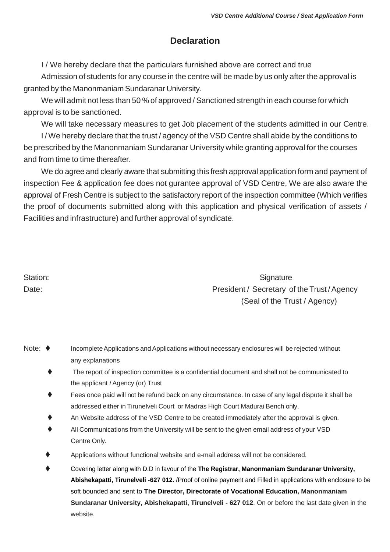# **Declaration**

I / We hereby declare that the particulars furnished above are correct and true

Admission of students for any course in the centre will be made by us only after the approval is granted by the Manonmaniam Sundaranar University.

We will admit not less than 50 % of approved / Sanctioned strength in each course for which approval is to be sanctioned.

We will take necessary measures to get Job placement of the students admitted in our Centre.

I / We hereby declare that the trust / agency of the VSD Centre shall abide by the conditions to be prescribed by the Manonmaniam Sundaranar University while granting approval for the courses and from time to time thereafter.

We do agree and clearly aware that submitting this fresh approval application form and payment of inspection Fee & application fee does not gurantee approval of VSD Centre, We are also aware the approval of Fresh Centre is subject to the satisfactory report of the inspection committee (Which verifies the proof of documents submitted along with this application and physical verification of assets / Facilities and infrastructure) and further approval of syndicate.

| Station: |  |
|----------|--|
| Date:    |  |

Signature President / Secretary of the Trust / Agency (Seal of the Trust / Agency)

| Note: $\blacklozenge$ | Incomplete Applications and Applications without necessary enclosures will be rejected without |
|-----------------------|------------------------------------------------------------------------------------------------|
|                       | any explanations                                                                               |

- ⧫ The report of inspection committee is a confidential document and shall not be communicated to the applicant / Agency (or) Trust
- Fees once paid will not be refund back on any circumstance. In case of any legal dispute it shall be addressed either in Tirunelveli Court or Madras High Court Madurai Bench only.
- An Website address of the VSD Centre to be created immediately after the approval is given.
- All Communications from the University will be sent to the given email address of your VSD Centre Only.
- Applications without functional website and e-mail address will not be considered.
- ⧫ Covering letter along with D.D in favour of the **The Registrar, Manonmaniam Sundaranar University, Abishekapatti, Tirunelveli -627 012.** /Proof of online payment and Filled in applications with enclosure to be soft bounded and sent to **The Director, Directorate of Vocational Education, Manonmaniam Sundaranar University, Abishekapatti, Tirunelveli - 627 012**. On or before the last date given in the website.